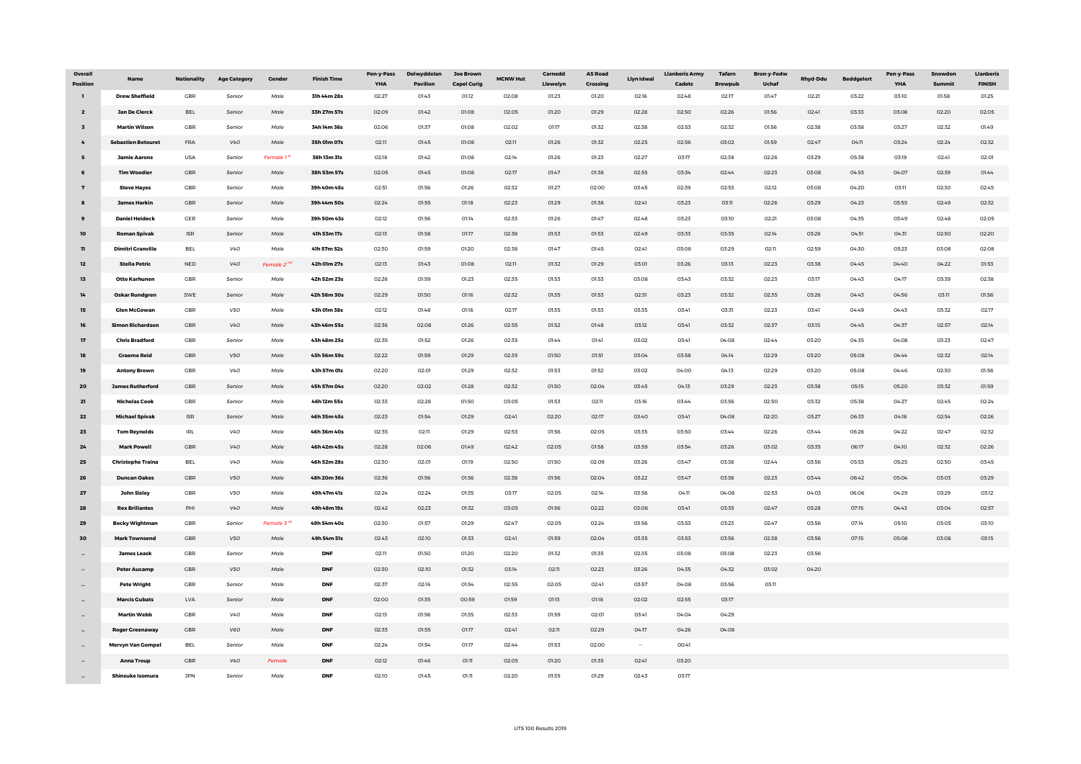| <b>Overall</b><br><b>Position</b> | <b>Name</b>               | <b>Nationality</b> | <b>Age Category</b> | <b>Gender</b>          | <b>Finish Time</b> | <b>Pen-y-Pass</b><br><b>YHA</b> | <b>Dolwyddelan</b><br><b>Pavilion</b> | <b>Joe Brown</b><br><b>Capel Curig</b> | <b>MCNW Hut</b> | <b>Carnedd</b><br><b>Llewelyn</b> | <b>A5 Road</b><br><b>Crossing</b> | <b>Llyn Idwal</b> | <b>Llanberis Army</b><br><b>Cadets</b> | <b>Tafarn</b><br><b>Brewpub</b> | <b>Bron-y-Fedw</b><br><b>Uchaf</b> | <b>Rhyd-Ddu</b> | <b>Beddgelert</b> | <b>Pen-y-Pass</b><br><b>YHA</b> | Snowdon<br><b>Summit</b> | <b>Llanberis</b><br><b>FINISH</b> |
|-----------------------------------|---------------------------|--------------------|---------------------|------------------------|--------------------|---------------------------------|---------------------------------------|----------------------------------------|-----------------|-----------------------------------|-----------------------------------|-------------------|----------------------------------------|---------------------------------|------------------------------------|-----------------|-------------------|---------------------------------|--------------------------|-----------------------------------|
|                                   | <b>Drew Sheffield</b>     | <b>GBR</b>         | Senior              | Male                   | 31h 44m 28s        | 02:27                           | 01:43                                 | 01:12                                  | 02:08           | 01:23                             | 01:20                             | 02:16             | 02:48                                  | 02:17                           | 01:47                              | 02:21           | 03:22             | 03:10                           | 01:58                    | 01:25                             |
| $\overline{2}$                    | <b>Jan De Clerck</b>      | <b>BEL</b>         | Senior              | Male                   | 33h 27m 57s        | 02:09                           | 01:42                                 | 01:08                                  | 02:05           | 01:20                             | 01:29                             | 02:28             | 02:50                                  | 02:26                           | 01:56                              | 02:41           | 03:33             | 03:08                           | 02:20                    | 02:05                             |
|                                   | <b>Martin Wilson</b>      | <b>GBR</b>         | Senior              | Male                   | 34h 14m 36s        | 02:06                           | 01:37                                 | 01:08                                  | 02:02           | 01:17                             | 01:32                             | 02:38             | 02:53                                  | 02:32                           | 01:56                              | 02:38           | 03:58             | 03:27                           | 02:32                    | 01:49                             |
|                                   | <b>Sebastien Betouret</b> | <b>FRA</b>         | V40                 | Male                   | 35h 01m 07s        | 02:11                           | 01:45                                 | 01:08                                  | 02:11           | 01:26                             | 01:32                             | 02:25             | 02:56                                  | 03:02                           | 01:59                              | 02:47           | 04:11             | 03:24                           | 02:24                    | 02:32                             |
|                                   | <b>Jamie Aarons</b>       | <b>USA</b>         | Senior              | Female 1 <sup>st</sup> | 38h 13m 31s        | 02:18                           | 01:42                                 | 01:08                                  | 02:14           | 01:26                             | 01:23                             | 02:27             | 03:17                                  | 02:38                           | 02:26                              | 03:29           | 05:38             | 03:19                           | 02:41                    | 02:01                             |
|                                   | <b>Tim Woodier</b>        | <b>GBR</b>         | Senior              | Male                   | 38h 53m 57s        | 02:05                           | 01:45                                 | 01:08                                  | 02:17           | 01:47                             | 01:38                             | 02:55             | 03:34                                  | 02:44                           | 02:23                              | 03:08           | 04:53             | 04:07                           | 02:39                    | 01:44                             |
| $\overline{\mathbf{z}}$           | <b>Steve Hayes</b>        | <b>GBR</b>         | Senior              | Male                   | 39h 40m 45s        | 02:51                           | 01:56                                 | 01:26                                  | 02:32           | 01:27                             | 02:00                             | 03:45             | 02:39                                  | 02:53                           | 02:12                              | 03:08           | 04:20             | 03:11                           | 02:30                    | 02:45                             |
|                                   | <b>James Harkin</b>       | <b>GBR</b>         | Senior              | Male                   | 39h 44m 50s        | 02:24                           | 01:55                                 | 01:18                                  | 02:23           | 01:29                             | 01:38                             | 02:41             | 03:23                                  | 03:11                           | 02:26                              | 03:29           | 04:23             | 03:55                           | 02:49                    | 02:32                             |
| 9                                 | <b>Daniel Heideck</b>     | <b>GER</b>         | Senior              | Male                   | 39h 50m 43s        | 02:12                           | 01:56                                 | 01:14                                  | 02:33           | 01:26                             | 01:47                             | 02:48             | 03:23                                  | 03:10                           | 02:21                              | 03:08           | 04:35             | 03:49                           | 02:48                    | 02:05                             |
| 10 <sub>o</sub>                   | <b>Roman Spivak</b>       | <b>ISR</b>         | Senior              | Male                   | 41h 53m 17s        | 02:13                           | 01:58                                 | 01:17                                  | 02:38           | 01:53                             | 01:53                             | 02:49             | 03:33                                  | 03:35                           | 02:14                              | 03:26           | 04:51             | 04:31                           | 02:50                    | 02:20                             |
| 11                                | <b>Dimitri Granville</b>  | <b>BEL</b>         | V4O                 | Male                   | 41h 57m 52s        | 02:30                           | 01:59                                 | 01:20                                  | 02:38           | 01:47                             | 01:45                             | 02:41             | 03:08                                  | 03:29                           | 02:11                              | 02:59           | 04:30             | 05:23                           | 03:08                    | 02:08                             |
| 12                                | <b>Stella Petric</b>      | <b>NED</b>         | V4O                 | Female 2 <sup>nd</sup> | 42h 01m 27s        | 02:13                           | 01:43                                 | 01:08                                  | 02:11           | 01:32                             | 01:29                             | 03:01             | 03:26                                  | 03:13                           | 02:23                              | 03:38           | 04:45             | 04:40                           | 04:22                    | 01:53                             |
| 13                                | <b>Otto Karhunen</b>      | <b>GBR</b>         | Senior              | Male                   | 42h 52m 23s        | 02:26                           | 01:59                                 | 01:23                                  | 02:35           | 01:53                             | 01:53                             | 03:08             | 03:43                                  | 03:32                           | 02:23                              | 03:17           | 04:43             | 04:17                           | 03:39                    | 02:38                             |
|                                   | <b>Oskar Rundgren</b>     | SWE                | Senior              | Male                   | 42h 58m 30s        | 02:29                           | 01:50                                 | 01:16                                  | 02:32           | 01:35                             | 01:53                             | O2:51             | 03:23                                  | 03:32                           | 02:35                              | 03:26           | 04:43             | 04:56                           | 03:11                    | 01:56                             |
| 15                                | <b>Glen McGowan</b>       | <b>GBR</b>         | V50                 | Male                   | 43h 01m 38s        | 02:12                           | 01:48                                 | 01:16                                  | 02:17           | 01:35                             | 01:53                             | 03:35             | 03:41                                  | 03:31                           | 02:23                              | 03:41           | 04:49             | 04:43                           | 03:32                    | 02:17                             |
| 16                                | <b>Simon Richardson</b>   | <b>GBR</b>         | V40                 | Male                   | 43h 46m 55s        | 02:36                           | 02:08                                 | 01:26                                  | 02:55           | 01:52                             | 01:48                             | 03:12             | 03:41                                  | 03:32                           | 02:37                              | 03:15           | 04:45             | 04:37                           | 02:57                    | 02:14                             |
| 17 <sup>7</sup>                   | <b>Chris Bradford</b>     | <b>GBR</b>         | Senior              | Male                   | 43h 48m 25s        | 02:35                           | 01:52                                 | 01:26                                  | 02:35           | 01:44                             | 01:41                             | 03:02             | 03:41                                  | 04:08                           | 02:44                              | 03:20           | 04:35             | 04:08                           | 03:23                    | 02:47                             |
| 18                                | <b>Graeme Reid</b>        | <b>GBR</b>         | V50                 | Male                   | 43h 56m 59s        | 02:22                           | 01:59                                 | 01:29                                  | 02:35           | 01:50                             | O1:51                             | 03:04             | 03:58                                  | 04:14                           | 02:29                              | 03:20           | 05:08             | 04:44                           | 02:32                    | 02:14                             |
| 19                                | <b>Antony Brown</b>       | <b>GBR</b>         | V40                 | Male                   | 43h 57m 01s        | 02:20                           | 02:01                                 | 01:29                                  | 02:32           | 01:53                             | 01:52                             | 03:02             | 04:00                                  | 04:13                           | 02:29                              | 03:20           | 05:08             | 04:46                           | 02:30                    | 01:56                             |
| 20                                | <b>James Rutherford</b>   | <b>GBR</b>         | Senior              | Male                   | 45h 57m 04s        | 02:20                           | 02:02                                 | 01:28                                  | 02:32           | 01:50                             | 02:04                             | 03:45             | 04:13                                  | 03:29                           | 02:23                              | 03:38           | 05:15             | 05:20                           | 03:32                    | 01:59                             |
| 21                                | <b>Nicholas Cook</b>      | <b>GBR</b>         | Senior              | Male                   | 46h 12m 55s        | 02:33                           | 02:28                                 | 01:50                                  | 03:05           | 01:53                             | 02:11                             | 03:16             | 03:44                                  | 03:56                           | 02:50                              | 03:32           | 05:38             | 04:27                           | 02:45                    | 02:24                             |
| 22                                | <b>Michael Spivak</b>     | <b>ISR</b>         | Senior              | Male                   | 46h 35m 45s        | 02:23                           | 01:54                                 | 01:29                                  | 02:41           | 02:20                             | 02:17                             | 03:40             | 03:41                                  | 04:08                           | 02:20                              | 03:27           | 06:33             | 04:18                           | 02:54                    | 02:26                             |
| 23                                | <b>Tom Reynolds</b>       | <b>IRL</b>         | V40                 | Male                   | 46h 36m 40s        | 02:35                           | 02:11                                 | 01:29                                  | 02:53           | 01:56                             | 02:05                             | 03:35             | 03:50                                  | 03:44                           | 02:26                              | 03:44           | 06:26             | 04:22                           | 02:47                    | 02:32                             |
| 24                                | <b>Mark Powell</b>        | <b>GBR</b>         | V4O                 | Male                   | 46h 42m 45s        | 02:28                           | 02:06                                 | 01:49                                  | 02:42           | 02:05                             | 01:58                             | 03:59             | 03:54                                  | 03:26                           | 03:02                              | 03:35           | 06:17             | 04:10                           | 02:32                    | 02:26                             |
| 25                                | <b>Christophe Traina</b>  | <b>BEL</b>         | V4O                 | Male                   | 46h 52m 28s        | 02:30                           | 02:01                                 | 01:19                                  | 02:50           | 01:50                             | 02:09                             | 03:26             | 03:47                                  | 03:38                           | 02:44                              | 03:56           | 05:53             | 05:25                           | 02:50                    | 03:45                             |
| 26                                | <b>Duncan Oakes</b>       | <b>GBR</b>         | V50                 | Male                   | 48h 20m 36s        | 02:36                           | 01:56                                 | 01:36                                  | 02:38           | 01:56                             | 02:04                             | 03:22             | 03:47                                  | 03:38                           | 02:23                              | 03:44           | 06:42             | 05:04                           | 03:03                    | 03:29                             |
| 27                                | <b>John Sisley</b>        | <b>GBR</b>         | V50                 | Male                   | 49h 47m 41s        | 02:24                           | 02:24                                 | 01:35                                  | 03:17           | 02:05                             | 02:14                             | 03:56             | 04:11                                  | 04:08                           | 02:53                              | 04:03           | 06:06             | 04:29                           | 03:29                    | 03:12                             |
| 28                                | <b>Rex Brillantes</b>     | PHI                | V40                 | Male                   | 49h 48m 19s        | 02:42                           | 02:23                                 | 01:32                                  | 03:05           | 01:56                             | 02:22                             | 03:08             | 03:41                                  | 03:35                           | 02:47                              | 03:28           | 07:15             | 04:43                           | 03:04                    | 02:57                             |
| 29                                | <b>Becky Wightman</b>     | <b>GBR</b>         | Senior              | Female 3 <sup>rd</sup> | 49h 54m 40s        | 02:30                           | 01:57                                 | 01:29                                  | 02:47           | 02:05                             | 02:24                             | 03:56             | 03:53                                  | 03:23                           | 02:47                              | 03:56           | 07:14             | 05:10                           | 03:05                    | 03:10                             |
| 30                                | <b>Mark Townsend</b>      | <b>GBR</b>         | V50                 | Male                   | 49h 54m 51s        | 02:43                           | 02:10                                 | 01:33                                  | 02:41           | 01:59                             | 02:04                             | 03:35             | 03:53                                  | 03:56                           | 02:38                              | 03:56           | 07:15             | 05:08                           | 03:08                    | 03:15                             |
| $\sim$                            | <b>James Leask</b>        | <b>GBR</b>         | Senior              | Male                   | <b>DNF</b>         | 02:11                           | 01:50                                 | 01:20                                  | 02:20           | 01:32                             | 01:35                             | 02:35             | 03:08                                  | 03:08                           | 02:23                              | 03:56           |                   |                                 |                          |                                   |
| $\sim$                            | <b>Peter Aucamp</b>       | <b>GBR</b>         | V50                 | Male                   | <b>DNF</b>         | 02:30                           | 02:10                                 | 01:32                                  | 03:14           | 02:11                             | 02:23                             | 03:26             | 04:35                                  | 04:32                           | 03:02                              | 04:20           |                   |                                 |                          |                                   |
| $\sim$                            | <b>Pete Wright</b>        | <b>GBR</b>         | Senior              | Male                   | <b>DNF</b>         | 02:37                           | 02:16                                 | O1:54                                  | 02:55           | 02:05                             | 02:41                             | 03:57             | 04:08                                  | 03:56                           | 03:11                              |                 |                   |                                 |                          |                                   |
| $\sim$                            | <b>Marcis Gubats</b>      | LVA                | Senior              | Male                   | <b>DNF</b>         | 02:00                           | 01:35                                 | 00:59                                  | 01:59           | 01:13                             | 01:18                             | 02:02             | 02:55                                  | 03:17                           |                                    |                 |                   |                                 |                          |                                   |
| $\sim$                            | <b>Martin Webb</b>        | <b>GBR</b>         | V4O                 | Male                   | <b>DNF</b>         | 02:13                           | 01:56                                 | 01:35                                  | 02:33           | 01:59                             | 02:01                             | 03:41             | 04:04                                  | 04:29                           |                                    |                 |                   |                                 |                          |                                   |
| $-$                               | <b>Roger Greenaway</b>    | <b>GBR</b>         | V60                 | Male                   | <b>DNF</b>         | 02:33                           | 01:55                                 | 01:17                                  | 02:41           | 02:11                             | 02:29                             | 04:17             | 04:26                                  | 04:08                           |                                    |                 |                   |                                 |                          |                                   |
|                                   | <b>Mervyn Van Gompel</b>  | <b>BEL</b>         | Senior              | Male                   | <b>DNF</b>         | 02:24                           | 01:54                                 | 01:17                                  | 02:44           | O1:53                             | 02:00                             | $\sim$ $\sim$     | 00:41                                  |                                 |                                    |                 |                   |                                 |                          |                                   |
| $-$                               | <b>Anna Troup</b>         | <b>GBR</b>         | V40                 | Female                 | <b>DNF</b>         | 02:12                           | 01:46                                 | 01:11                                  | 02:05           | 01:20                             | 01:35                             | 02:41             | 03:20                                  |                                 |                                    |                 |                   |                                 |                          |                                   |
|                                   | <b>Shinsuke Isomura</b>   | <b>JPN</b>         | Senior              | Male                   | <b>DNF</b>         | 02:10                           | 01:45                                 | 01:11                                  | 02:20           | 01:35                             | 01:29                             | 02:43             | 03:17                                  |                                 |                                    |                 |                   |                                 |                          |                                   |